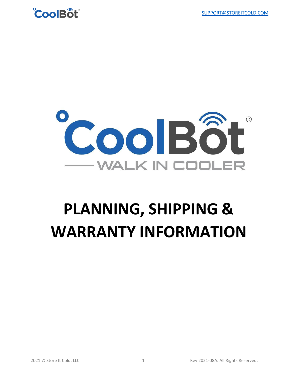



# **PLANNING, SHIPPING & WARRANTY INFORMATION**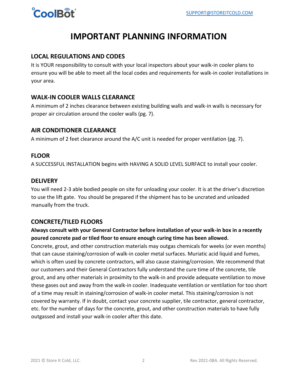

### **IMPORTANT PLANNING INFORMATION**

#### **LOCAL REGULATIONS AND CODES**

It is YOUR responsibility to consult with your local inspectors about your walk-in cooler plans to ensure you will be able to meet all the local codes and requirements for walk-in cooler installations in your area.

#### **WALK-IN COOLER WALLS CLEARANCE**

A minimum of 2 inches clearance between existing building walls and walk-in walls is necessary for proper air circulation around the cooler walls (pg. 7).

#### **AIR CONDITIONER CLEARANCE**

A minimum of 2 feet clearance around the A/C unit is needed for proper ventilation (pg. 7).

#### **FLOOR**

A SUCCESSFUL INSTALLATION begins with HAVING A SOLID LEVEL SURFACE to install your cooler.

#### **DELIVERY**

You will need 2-3 able bodied people on site for unloading your cooler. It is at the driver's discretion to use the lift gate. You should be prepared if the shipment has to be uncrated and unloaded manually from the truck.

#### **CONCRETE/TILED FLOORS**

**Always consult with your General Contractor before installation of your walk-in box in a recently poured concrete pad or tiled floor to ensure enough curing time has been allowed.**

Concrete, grout, and other construction materials may outgas chemicals for weeks (or even months) that can cause staining/corrosion of walk-in cooler metal surfaces. Muriatic acid liquid and fumes, which is often used by concrete contractors, will also cause staining/corrosion. We recommend that our customers and their General Contractors fully understand the cure time of the concrete, tile grout, and any other materials in proximity to the walk-in and provide adequate ventilation to move these gases out and away from the walk-in cooler. Inadequate ventilation or ventilation for too short of a time may result in staining/corrosion of walk-in cooler metal. This staining/corrosion is not covered by warranty. If in doubt, contact your concrete supplier, tile contractor, general contractor, etc. for the number of days for the concrete, grout, and other construction materials to have fully outgassed and install your walk-in cooler after this date.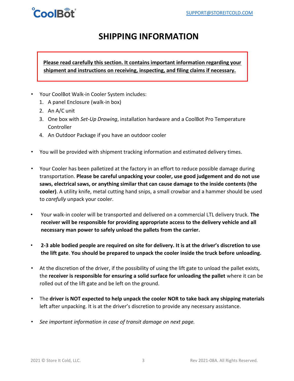## $\alpha$ ool $R_0$

## **SHIPPING INFORMATION**

#### **Please read carefully this section. It contains important information regarding your shipment and instructions on receiving, inspecting, and filing claims if necessary.**

- Your CoolBot Walk-in Cooler System includes:
	- 1. A panel Enclosure (walk-in box)
	- 2. An A/C unit
	- 3. One box with *Set-Up Drawing*, installation hardware and a CoolBot Pro Temperature Controller
	- 4. An Outdoor Package if you have an outdoor cooler
- You will be provided with shipment tracking information and estimated delivery times.
- Your Cooler has been palletized at the factory in an effort to reduce possible damage during transportation. **Please be careful unpacking your cooler, use good judgement and do not use saws, electrical saws, or anything similar that can cause damage to the inside contents (the cooler)**. A utility knife, metal cutting hand snips, a small crowbar and a hammer should be used to *carefully* unpack your cooler.
- Your walk-in cooler will be transported and delivered on a commercial LTL delivery truck. **The receiver will be responsible for providing appropriate access to the delivery vehicle and all necessary man power to safely unload the pallets from the carrier.**
- **2-3 able bodied people are required on site for delivery. It is at the driver's discretion to use the lift gate**. **You should be prepared to unpack the cooler inside the truck before unloading.**
- At the discretion of the driver, if the possibility of using the lift gate to unload the pallet exists, the **receiver is responsible for ensuring a solid surface for unloading the pallet** where it can be rolled out of the lift gate and be left on the ground.
- The **driver is NOT expected to help unpack the cooler NOR to take back any shipping materials** left after unpacking. It is at the driver's discretion to provide any necessary assistance.
- *See important information in case of transit damage on next page.*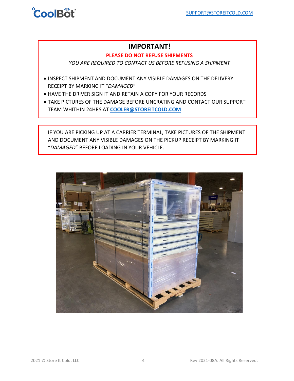

#### **IMPORTANT!**

#### **PLEASE DO NOT REFUSE SHIPMENTS**

*YOU ARE REQUIRED TO CONTACT US BEFORE REFUSING A SHIPMENT*

- INSPECT SHIPMENT AND DOCUMENT ANY VISIBLE DAMAGES ON THE DELIVERY RECEIPT BY MARKING IT "*DAMAGED*"
- HAVE THE DRIVER SIGN IT AND RETAIN A COPY FOR YOUR RECORDS
- TAKE PICTURES OF THE DAMAGE BEFORE UNCRATING AND CONTACT OUR SUPPORT TEAM WHITHIN 24HRS AT **[COOLER@STOREITCOLD.COM](mailto:COOLER@STOREITCOLD.COM)**

IF YOU ARE PICKING UP AT A CARRIER TERMINAL, TAKE PICTURES OF THE SHIPMENT AND DOCUMENT ANY VISIBLE DAMAGES ON THE PICKUP RECEIPT BY MARKING IT "*DAMAGED*" BEFORE LOADING IN YOUR VEHICLE.

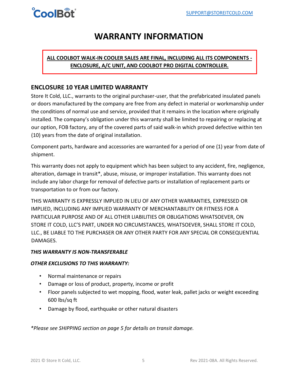

## **WARRANTY INFORMATION**

#### **ALL COOLBOT WALK-IN COOLER SALES ARE FINAL, INCLUDING ALL ITS COMPONENTS - ENCLOSURE, A/C UNIT, AND COOLBOT PRO DIGITAL CONTROLLER.**

#### **ENCLOSURE 10 YEAR LIMITED WARRANTY**

Store It Cold, LLC., warrants to the original purchaser-user, that the prefabricated insulated panels or doors manufactured by the company are free from any defect in material or workmanship under the conditions of normal use and service, provided that it remains in the location where originally installed. The company's obligation under this warranty shall be limited to repairing or replacing at our option, FOB factory, any of the covered parts of said walk-in which proved defective within ten (10) years from the date of original installation.

Component parts, hardware and accessories are warranted for a period of one (1) year from date of shipment.

This warranty does not apply to equipment which has been subject to any accident, fire, negligence, alteration, damage in transit\*, abuse, misuse, or improper installation. This warranty does not include any labor charge for removal of defective parts or installation of replacement parts or transportation to or from our factory.

THIS WARRANTY IS EXPRESSLY IMPLIED IN LIEU OF ANY OTHER WARRANTIES, EXPRESSED OR IMPLIED, INCLUDING ANY IMPLIED WARRANTY OF MERCHANTABILITY OR FITNESS FOR A PARTICULAR PURPOSE AND OF ALL OTHER LIABILITIES OR OBLIGATIONS WHATSOEVER, ON STORE IT COLD, LLC'S PART, UNDER NO CIRCUMSTANCES, WHATSOEVER, SHALL STORE IT COLD, LLC., BE LIABLE TO THE PURCHASER OR ANY OTHER PARTY FOR ANY SPECIAL OR CONSEQUENTIAL DAMAGES.

#### *THIS WARRANTY IS NON-TRANSFERABLE*

#### *OTHER EXCLUSIONS TO THIS WARRANTY:*

- Normal maintenance or repairs
- Damage or loss of product, property, income or profit
- Floor panels subjected to wet mopping, flood, water leak, pallet jacks or weight exceeding 600 lbs/sq ft
- Damage by flood, earthquake or other natural disasters

*\*Please see SHIPPING section on page 5 for details on transit damage.*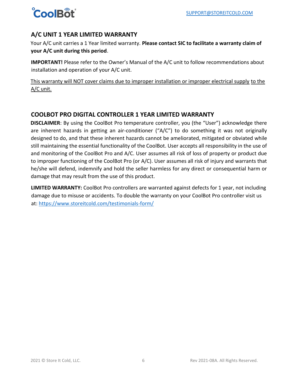

#### **A/C UNIT 1 YEAR LIMITED WARRANTY**

Your A/C unit carries a 1 Year limited warranty. **Please contact SIC to facilitate a warranty claim of your A/C unit during this period**.

**IMPORTANT!** Please refer to the Owner's Manual of the A/C unit to follow recommendations about installation and operation of your A/C unit.

This warranty will NOT cover claims due to improper installation or improper electrical supply to the A/C unit.

#### **COOLBOT PRO DIGITAL CONTROLLER 1 YEAR LIMITED WARRANTY**

**DISCLAIMER**: By using the CoolBot Pro temperature controller, you (the "User") acknowledge there are inherent hazards in getting an air-conditioner ("A/C") to do something it was not originally designed to do, and that these inherent hazards cannot be ameliorated, mitigated or obviated while still maintaining the essential functionality of the CoolBot. User accepts all responsibility in the use of and monitoring of the CoolBot Pro and A/C. User assumes all risk of loss of property or product due to improper functioning of the CoolBot Pro (or A/C). User assumes all risk of injury and warrants that he/she will defend, indemnify and hold the seller harmless for any direct or consequential harm or damage that may result from the use of this product.

**LIMITED WARRANTY:** CoolBot Pro controllers are warranted against defects for 1 year, not including damage due to misuse or accidents. To double the warranty on your CoolBot Pro controller visit us at[: https://www.storeitcold.com/testimonials-form/](https://www.storeitcold.com/testimonials-form/)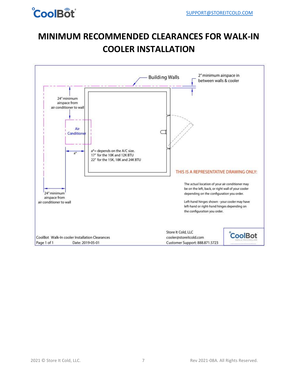

## **MINIMUM RECOMMENDED CLEARANCES FOR WALK-IN COOLER INSTALLATION**